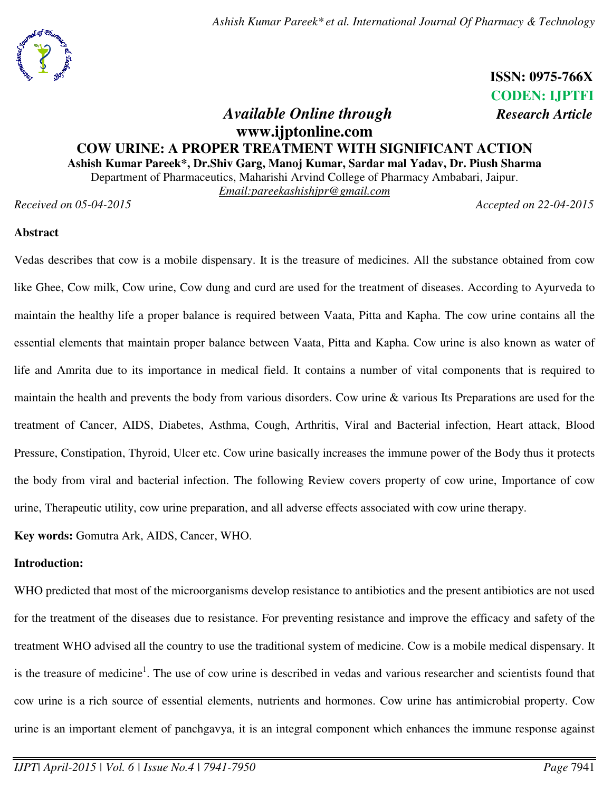

 **ISSN: 0975-766X** **CODEN: IJPTFI** 

# *Available Online through Research Article* **www.ijptonline.com COW URINE: A PROPER TREATMENT WITH SIGNIFICANT ACTION Ashish Kumar Pareek\*, Dr.Shiv Garg, Manoj Kumar, Sardar mal Yadav, Dr. Piush Sharma**

Department of Pharmaceutics, Maharishi Arvind College of Pharmacy Ambabari, Jaipur.

*Email:pareekashishjpr@gmail.com*

*Received on 05-04-2015 Accepted on 22-04-2015*

# **Abstract**

Vedas describes that cow is a mobile dispensary. It is the treasure of medicines. All the substance obtained from cow like Ghee, Cow milk, Cow urine, Cow dung and curd are used for the treatment of diseases. According to Ayurveda to maintain the healthy life a proper balance is required between Vaata, Pitta and Kapha. The cow urine contains all the essential elements that maintain proper balance between Vaata, Pitta and Kapha. Cow urine is also known as water of life and Amrita due to its importance in medical field. It contains a number of vital components that is required to maintain the health and prevents the body from various disorders. Cow urine & various Its Preparations are used for the treatment of Cancer, AIDS, Diabetes, Asthma, Cough, Arthritis, Viral and Bacterial infection, Heart attack, Blood Pressure, Constipation, Thyroid, Ulcer etc. Cow urine basically increases the immune power of the Body thus it protects the body from viral and bacterial infection. The following Review covers property of cow urine, Importance of cow urine, Therapeutic utility, cow urine preparation, and all adverse effects associated with cow urine therapy.

**Key words:** Gomutra Ark, AIDS, Cancer, WHO.

# **Introduction:**

WHO predicted that most of the microorganisms develop resistance to antibiotics and the present antibiotics are not used for the treatment of the diseases due to resistance. For preventing resistance and improve the efficacy and safety of the treatment WHO advised all the country to use the traditional system of medicine. Cow is a mobile medical dispensary. It is the treasure of medicine<sup>1</sup>. The use of cow urine is described in vedas and various researcher and scientists found that cow urine is a rich source of essential elements, nutrients and hormones. Cow urine has antimicrobial property. Cow urine is an important element of panchgavya, it is an integral component which enhances the immune response against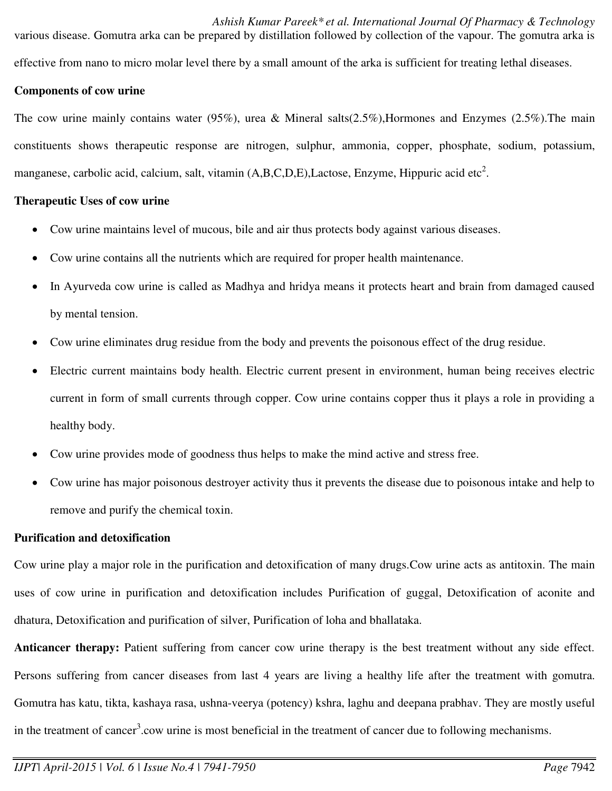*Ashish Kumar Pareek\* et al. International Journal Of Pharmacy & Technology*  various disease. Gomutra arka can be prepared by distillation followed by collection of the vapour. The gomutra arka is effective from nano to micro molar level there by a small amount of the arka is sufficient for treating lethal diseases.

# **Components of cow urine**

The cow urine mainly contains water (95%), urea & Mineral salts(2.5%),Hormones and Enzymes (2.5%).The main constituents shows therapeutic response are nitrogen, sulphur, ammonia, copper, phosphate, sodium, potassium, manganese, carbolic acid, calcium, salt, vitamin  $(A,B,C,D,E)$ , Lactose, Enzyme, Hippuric acid etc<sup>2</sup>.

# **Therapeutic Uses of cow urine**

- Cow urine maintains level of mucous, bile and air thus protects body against various diseases.
- Cow urine contains all the nutrients which are required for proper health maintenance.
- In Ayurveda cow urine is called as Madhya and hridya means it protects heart and brain from damaged caused by mental tension.
- Cow urine eliminates drug residue from the body and prevents the poisonous effect of the drug residue.
- Electric current maintains body health. Electric current present in environment, human being receives electric current in form of small currents through copper. Cow urine contains copper thus it plays a role in providing a healthy body.
- Cow urine provides mode of goodness thus helps to make the mind active and stress free.
- Cow urine has major poisonous destroyer activity thus it prevents the disease due to poisonous intake and help to remove and purify the chemical toxin.

## **Purification and detoxification**

Cow urine play a major role in the purification and detoxification of many drugs.Cow urine acts as antitoxin. The main uses of cow urine in purification and detoxification includes Purification of guggal, Detoxification of aconite and dhatura, Detoxification and purification of silver, Purification of loha and bhallataka.

**Anticancer therapy:** Patient suffering from cancer cow urine therapy is the best treatment without any side effect. Persons suffering from cancer diseases from last 4 years are living a healthy life after the treatment with gomutra. Gomutra has katu, tikta, kashaya rasa, ushna-veerya (potency) kshra, laghu and deepana prabhav. They are mostly useful in the treatment of cancer<sup>3</sup>.cow urine is most beneficial in the treatment of cancer due to following mechanisms.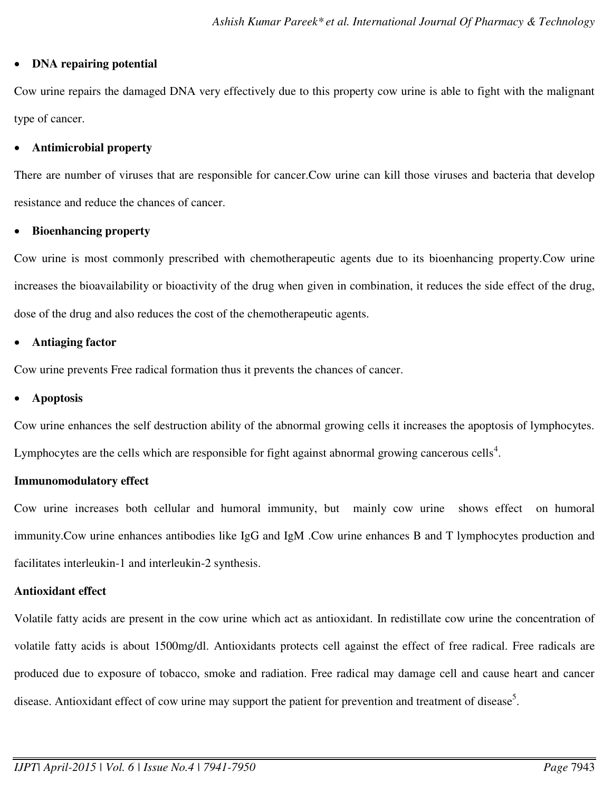# **DNA repairing potential**

Cow urine repairs the damaged DNA very effectively due to this property cow urine is able to fight with the malignant type of cancer.

# **Antimicrobial property**

There are number of viruses that are responsible for cancer.Cow urine can kill those viruses and bacteria that develop resistance and reduce the chances of cancer.

# **Bioenhancing property**

Cow urine is most commonly prescribed with chemotherapeutic agents due to its bioenhancing property.Cow urine increases the bioavailability or bioactivity of the drug when given in combination, it reduces the side effect of the drug, dose of the drug and also reduces the cost of the chemotherapeutic agents.

# **Antiaging factor**

Cow urine prevents Free radical formation thus it prevents the chances of cancer.

# **Apoptosis**

Cow urine enhances the self destruction ability of the abnormal growing cells it increases the apoptosis of lymphocytes. Lymphocytes are the cells which are responsible for fight against abnormal growing cancerous cells<sup>4</sup>.

# **Immunomodulatory effect**

Cow urine increases both cellular and humoral immunity, but mainly cow urine shows effect on humoral immunity.Cow urine enhances antibodies like IgG and IgM .Cow urine enhances B and T lymphocytes production and facilitates interleukin-1 and interleukin-2 synthesis.

# **Antioxidant effect**

Volatile fatty acids are present in the cow urine which act as antioxidant. In redistillate cow urine the concentration of volatile fatty acids is about 1500mg/dl. Antioxidants protects cell against the effect of free radical. Free radicals are produced due to exposure of tobacco, smoke and radiation. Free radical may damage cell and cause heart and cancer disease. Antioxidant effect of cow urine may support the patient for prevention and treatment of disease<sup>5</sup>.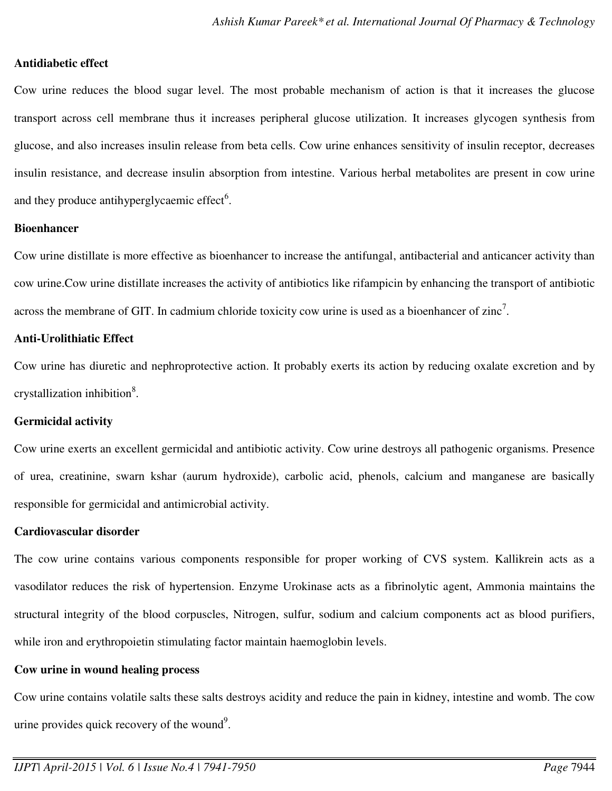# **Antidiabetic effect**

Cow urine reduces the blood sugar level. The most probable mechanism of action is that it increases the glucose transport across cell membrane thus it increases peripheral glucose utilization. It increases glycogen synthesis from glucose, and also increases insulin release from beta cells. Cow urine enhances sensitivity of insulin receptor, decreases insulin resistance, and decrease insulin absorption from intestine. Various herbal metabolites are present in cow urine and they produce antihyperglycaemic effect $6$ .

#### **Bioenhancer**

Cow urine distillate is more effective as bioenhancer to increase the antifungal, antibacterial and anticancer activity than cow urine.Cow urine distillate increases the activity of antibiotics like rifampicin by enhancing the transport of antibiotic across the membrane of GIT. In cadmium chloride toxicity cow urine is used as a bioenhancer of zinc<sup>7</sup>.

#### **Anti-Urolithiatic Effect**

Cow urine has diuretic and nephroprotective action. It probably exerts its action by reducing oxalate excretion and by crystallization inhibition<sup>8</sup>.

# **Germicidal activity**

Cow urine exerts an excellent germicidal and antibiotic activity. Cow urine destroys all pathogenic organisms. Presence of urea, creatinine, swarn kshar (aurum hydroxide), carbolic acid, phenols, calcium and manganese are basically responsible for germicidal and antimicrobial activity.

#### **Cardiovascular disorder**

The cow urine contains various components responsible for proper working of CVS system. Kallikrein acts as a vasodilator reduces the risk of hypertension. Enzyme Urokinase acts as a fibrinolytic agent, Ammonia maintains the structural integrity of the blood corpuscles, Nitrogen, sulfur, sodium and calcium components act as blood purifiers, while iron and erythropoietin stimulating factor maintain haemoglobin levels.

#### **Cow urine in wound healing process**

Cow urine contains volatile salts these salts destroys acidity and reduce the pain in kidney, intestine and womb. The cow urine provides quick recovery of the wound<sup>9</sup>.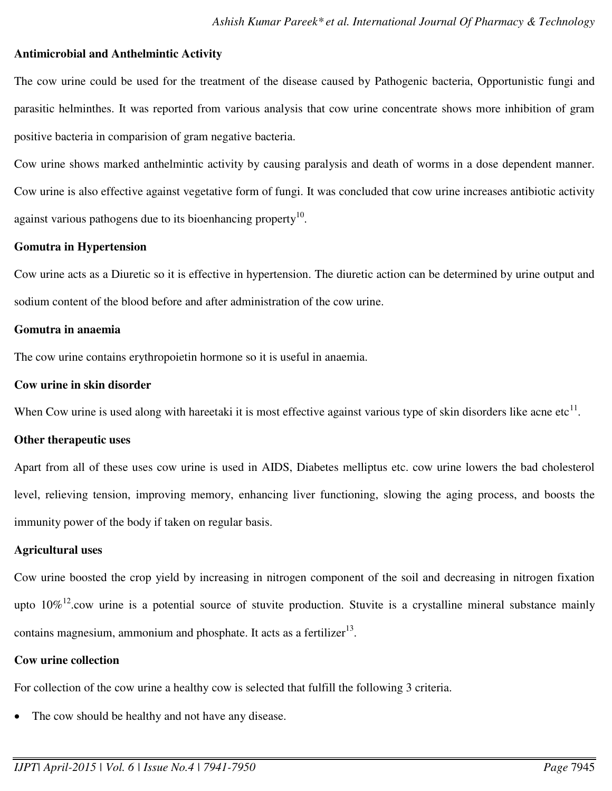### **Antimicrobial and Anthelmintic Activity**

The cow urine could be used for the treatment of the disease caused by Pathogenic bacteria, Opportunistic fungi and parasitic helminthes. It was reported from various analysis that cow urine concentrate shows more inhibition of gram positive bacteria in comparision of gram negative bacteria.

Cow urine shows marked anthelmintic activity by causing paralysis and death of worms in a dose dependent manner. Cow urine is also effective against vegetative form of fungi. It was concluded that cow urine increases antibiotic activity against various pathogens due to its bioenhancing property $10$ .

# **Gomutra in Hypertension**

Cow urine acts as a Diuretic so it is effective in hypertension. The diuretic action can be determined by urine output and sodium content of the blood before and after administration of the cow urine.

# **Gomutra in anaemia**

The cow urine contains erythropoietin hormone so it is useful in anaemia.

# **Cow urine in skin disorder**

When Cow urine is used along with hareetaki it is most effective against various type of skin disorders like acne etc $^{11}$ .

#### **Other therapeutic uses**

Apart from all of these uses cow urine is used in AIDS, Diabetes melliptus etc. cow urine lowers the bad cholesterol level, relieving tension, improving memory, enhancing liver functioning, slowing the aging process, and boosts the immunity power of the body if taken on regular basis.

## **Agricultural uses**

Cow urine boosted the crop yield by increasing in nitrogen component of the soil and decreasing in nitrogen fixation upto  $10\%$ <sup>12</sup>.cow urine is a potential source of stuvite production. Stuvite is a crystalline mineral substance mainly contains magnesium, ammonium and phosphate. It acts as a fertilizer $13$ .

# **Cow urine collection**

For collection of the cow urine a healthy cow is selected that fulfill the following 3 criteria.

The cow should be healthy and not have any disease.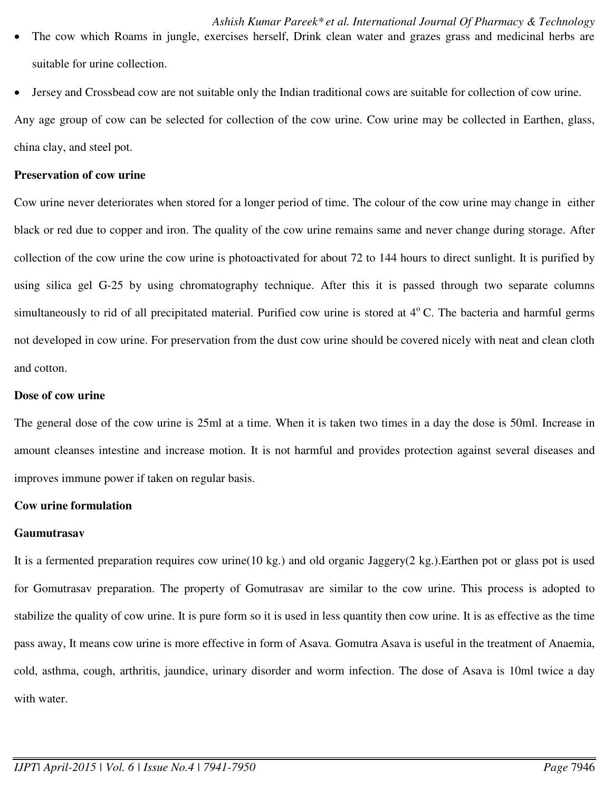- The cow which Roams in jungle, exercises herself, Drink clean water and grazes grass and medicinal herbs are suitable for urine collection.
- Jersey and Crossbead cow are not suitable only the Indian traditional cows are suitable for collection of cow urine.

Any age group of cow can be selected for collection of the cow urine. Cow urine may be collected in Earthen, glass, china clay, and steel pot.

#### **Preservation of cow urine**

Cow urine never deteriorates when stored for a longer period of time. The colour of the cow urine may change in either black or red due to copper and iron. The quality of the cow urine remains same and never change during storage. After collection of the cow urine the cow urine is photoactivated for about 72 to 144 hours to direct sunlight. It is purified by using silica gel G-25 by using chromatography technique. After this it is passed through two separate columns simultaneously to rid of all precipitated material. Purified cow urine is stored at  $4^{\circ}$  C. The bacteria and harmful germs not developed in cow urine. For preservation from the dust cow urine should be covered nicely with neat and clean cloth and cotton.

### **Dose of cow urine**

The general dose of the cow urine is 25ml at a time. When it is taken two times in a day the dose is 50ml. Increase in amount cleanses intestine and increase motion. It is not harmful and provides protection against several diseases and improves immune power if taken on regular basis.

#### **Cow urine formulation**

## **Gaumutrasav**

It is a fermented preparation requires cow urine(10 kg.) and old organic Jaggery(2 kg.).Earthen pot or glass pot is used for Gomutrasav preparation. The property of Gomutrasav are similar to the cow urine. This process is adopted to stabilize the quality of cow urine. It is pure form so it is used in less quantity then cow urine. It is as effective as the time pass away, It means cow urine is more effective in form of Asava. Gomutra Asava is useful in the treatment of Anaemia, cold, asthma, cough, arthritis, jaundice, urinary disorder and worm infection. The dose of Asava is 10ml twice a day with water.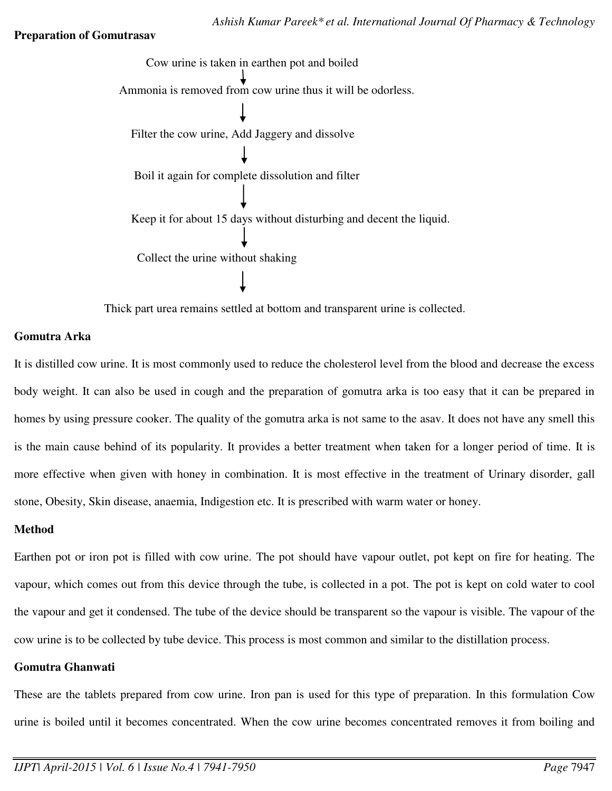## **Preparation of Gomutrasav**



Thick part urea remains settled at bottom and transparent urine is collected.

# **Gomutra Arka**

It is distilled cow urine. It is most commonly used to reduce the cholesterol level from the blood and decrease the excess body weight. It can also be used in cough and the preparation of gomutra arka is too easy that it can be prepared in homes by using pressure cooker. The quality of the gomutra arka is not same to the asav. It does not have any smell this is the main cause behind of its popularity. It provides a better treatment when taken for a longer period of time. It is more effective when given with honey in combination. It is most effective in the treatment of Urinary disorder, gall stone, Obesity, Skin disease, anaemia, Indigestion etc. It is prescribed with warm water or honey.

## **Method**

Earthen pot or iron pot is filled with cow urine. The pot should have vapour outlet, pot kept on fire for heating. The vapour, which comes out from this device through the tube, is collected in a pot. The pot is kept on cold water to cool the vapour and get it condensed. The tube of the device should be transparent so the vapour is visible. The vapour of the cow urine is to be collected by tube device. This process is most common and similar to the distillation process.

# **Gomutra Ghanwati**

These are the tablets prepared from cow urine. Iron pan is used for this type of preparation. In this formulation Cow urine is boiled until it becomes concentrated. When the cow urine becomes concentrated removes it from boiling and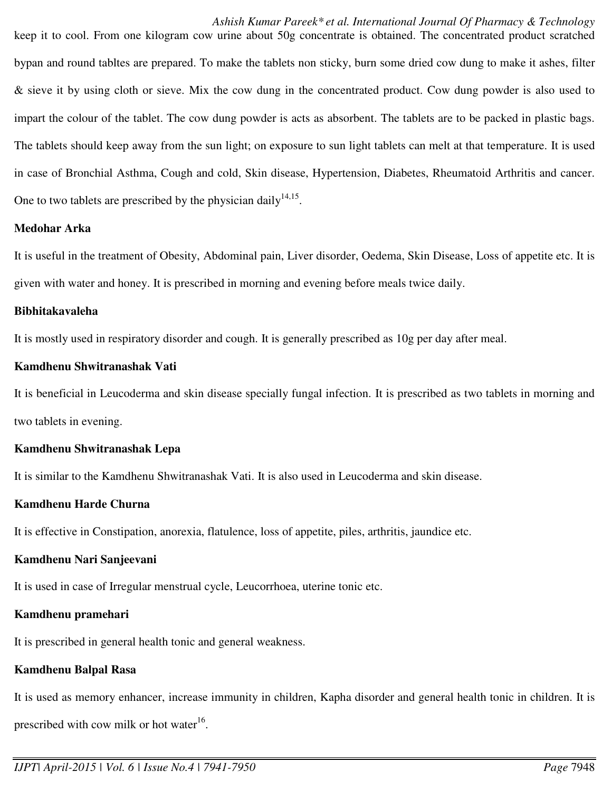# *Ashish Kumar Pareek\* et al. International Journal Of Pharmacy & Technology*

keep it to cool. From one kilogram cow urine about 50g concentrate is obtained. The concentrated product scratched bypan and round tabltes are prepared. To make the tablets non sticky, burn some dried cow dung to make it ashes, filter & sieve it by using cloth or sieve. Mix the cow dung in the concentrated product. Cow dung powder is also used to impart the colour of the tablet. The cow dung powder is acts as absorbent. The tablets are to be packed in plastic bags. The tablets should keep away from the sun light; on exposure to sun light tablets can melt at that temperature. It is used in case of Bronchial Asthma, Cough and cold, Skin disease, Hypertension, Diabetes, Rheumatoid Arthritis and cancer. One to two tablets are prescribed by the physician daily $14,15$ .

# **Medohar Arka**

It is useful in the treatment of Obesity, Abdominal pain, Liver disorder, Oedema, Skin Disease, Loss of appetite etc. It is given with water and honey. It is prescribed in morning and evening before meals twice daily.

## **Bibhitakavaleha**

It is mostly used in respiratory disorder and cough. It is generally prescribed as 10g per day after meal.

# **Kamdhenu Shwitranashak Vati**

It is beneficial in Leucoderma and skin disease specially fungal infection. It is prescribed as two tablets in morning and two tablets in evening.

## **Kamdhenu Shwitranashak Lepa**

It is similar to the Kamdhenu Shwitranashak Vati. It is also used in Leucoderma and skin disease.

## **Kamdhenu Harde Churna**

It is effective in Constipation, anorexia, flatulence, loss of appetite, piles, arthritis, jaundice etc.

## **Kamdhenu Nari Sanjeevani**

It is used in case of Irregular menstrual cycle, Leucorrhoea, uterine tonic etc.

# **Kamdhenu pramehari**

It is prescribed in general health tonic and general weakness.

# **Kamdhenu Balpal Rasa**

It is used as memory enhancer, increase immunity in children, Kapha disorder and general health tonic in children. It is prescribed with cow milk or hot water $16$ .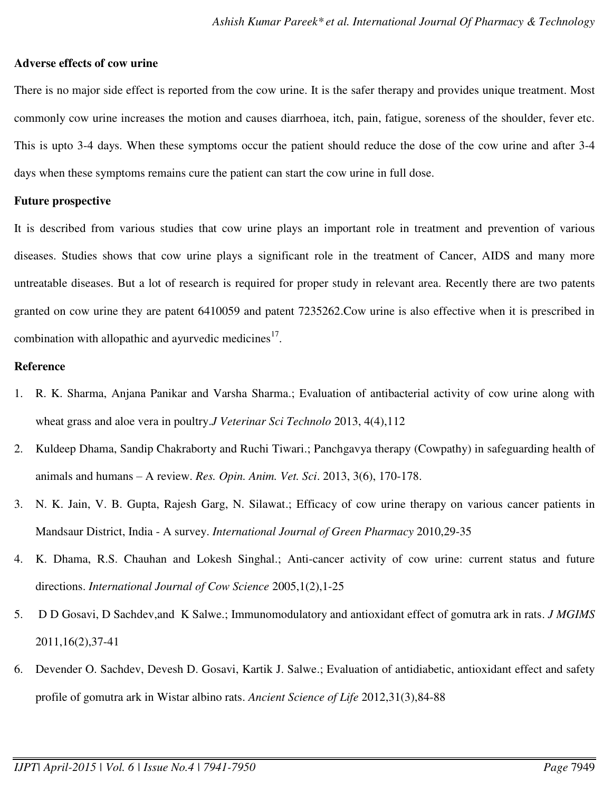#### **Adverse effects of cow urine**

There is no major side effect is reported from the cow urine. It is the safer therapy and provides unique treatment. Most commonly cow urine increases the motion and causes diarrhoea, itch, pain, fatigue, soreness of the shoulder, fever etc. This is upto 3-4 days. When these symptoms occur the patient should reduce the dose of the cow urine and after 3-4 days when these symptoms remains cure the patient can start the cow urine in full dose.

#### **Future prospective**

It is described from various studies that cow urine plays an important role in treatment and prevention of various diseases. Studies shows that cow urine plays a significant role in the treatment of Cancer, AIDS and many more untreatable diseases. But a lot of research is required for proper study in relevant area. Recently there are two patents granted on cow urine they are patent 6410059 and patent 7235262.Cow urine is also effective when it is prescribed in combination with allopathic and ayurvedic medicines $17$ .

#### **Reference**

- 1. R. K. Sharma, Anjana Panikar and Varsha Sharma.; Evaluation of antibacterial activity of cow urine along with wheat grass and aloe vera in poultry.*J Veterinar Sci Technolo* 2013, 4(4),112
- 2. Kuldeep Dhama, Sandip Chakraborty and Ruchi Tiwari.; Panchgavya therapy (Cowpathy) in safeguarding health of animals and humans – A review. *Res. Opin. Anim. Vet. Sci*. 2013, 3(6), 170-178.
- 3. N. K. Jain, V. B. Gupta, Rajesh Garg, N. Silawat.; Efficacy of cow urine therapy on various cancer patients in Mandsaur District, India - A survey. *International Journal of Green Pharmacy* 2010,29-35
- 4. K. Dhama, R.S. Chauhan and Lokesh Singhal.; Anti-cancer activity of cow urine: current status and future directions. *International Journal of Cow Science* 2005,1(2),1-25
- 5. D D Gosavi, D Sachdev,and K Salwe.; Immunomodulatory and antioxidant effect of gomutra ark in rats. *J MGIMS* 2011,16(2),37-41
- 6. Devender O. Sachdev, Devesh D. Gosavi, Kartik J. Salwe.; Evaluation of antidiabetic, antioxidant effect and safety profile of gomutra ark in Wistar albino rats. *Ancient Science of Life* 2012,31(3),84-88